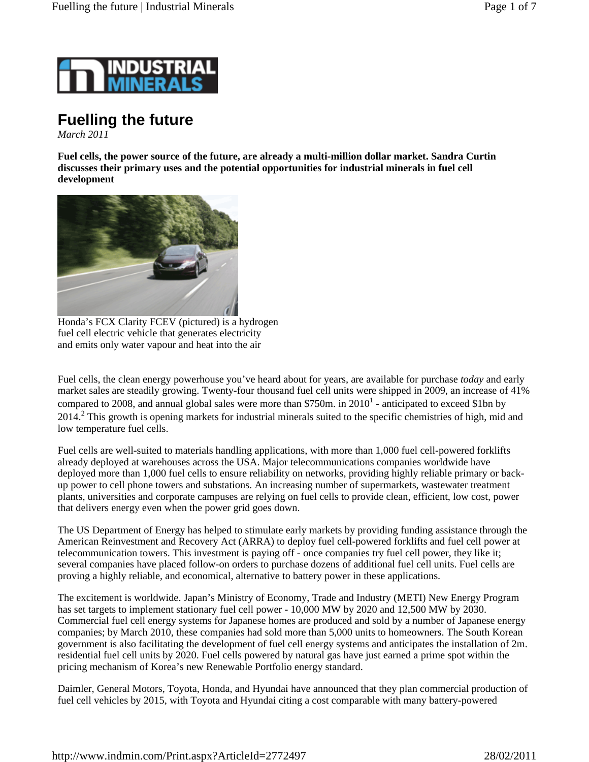

# **Fuelling the future**

*March 2011*

**Fuel cells, the power source of the future, are already a multi-million dollar market. Sandra Curtin discusses their primary uses and the potential opportunities for industrial minerals in fuel cell development**



Honda's FCX Clarity FCEV (pictured) is a hydrogen fuel cell electric vehicle that generates electricity and emits only water vapour and heat into the air

Fuel cells, the clean energy powerhouse you've heard about for years, are available for purchase *today* and early market sales are steadily growing. Twenty-four thousand fuel cell units were shipped in 2009, an increase of 41% compared to 2008, and annual global sales were more than \$750m. in  $2010<sup>1</sup>$  - anticipated to exceed \$1bn by 2014.<sup>2</sup> This growth is opening markets for industrial minerals suited to the specific chemistries of high, mid and low temperature fuel cells.

Fuel cells are well-suited to materials handling applications, with more than 1,000 fuel cell-powered forklifts already deployed at warehouses across the USA. Major telecommunications companies worldwide have deployed more than 1,000 fuel cells to ensure reliability on networks, providing highly reliable primary or backup power to cell phone towers and substations. An increasing number of supermarkets, wastewater treatment plants, universities and corporate campuses are relying on fuel cells to provide clean, efficient, low cost, power that delivers energy even when the power grid goes down.

The US Department of Energy has helped to stimulate early markets by providing funding assistance through the American Reinvestment and Recovery Act (ARRA) to deploy fuel cell-powered forklifts and fuel cell power at telecommunication towers. This investment is paying off - once companies try fuel cell power, they like it; several companies have placed follow-on orders to purchase dozens of additional fuel cell units. Fuel cells are proving a highly reliable, and economical, alternative to battery power in these applications.

The excitement is worldwide. Japan's Ministry of Economy, Trade and Industry (METI) New Energy Program has set targets to implement stationary fuel cell power - 10,000 MW by 2020 and 12,500 MW by 2030. Commercial fuel cell energy systems for Japanese homes are produced and sold by a number of Japanese energy companies; by March 2010, these companies had sold more than 5,000 units to homeowners. The South Korean government is also facilitating the development of fuel cell energy systems and anticipates the installation of 2m. residential fuel cell units by 2020. Fuel cells powered by natural gas have just earned a prime spot within the pricing mechanism of Korea's new Renewable Portfolio energy standard.

Daimler, General Motors, Toyota, Honda, and Hyundai have announced that they plan commercial production of fuel cell vehicles by 2015, with Toyota and Hyundai citing a cost comparable with many battery-powered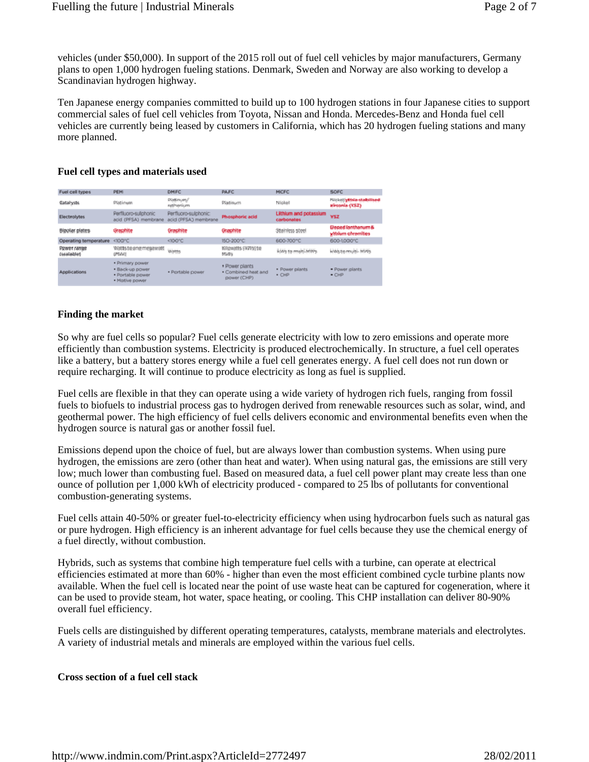vehicles (under \$50,000). In support of the 2015 roll out of fuel cell vehicles by major manufacturers, Germany plans to open 1,000 hydrogen fueling stations. Denmark, Sweden and Norway are also working to develop a Scandinavian hydrogen highway.

Ten Japanese energy companies committed to build up to 100 hydrogen stations in four Japanese cities to support commercial sales of fuel cell vehicles from Toyota, Nissan and Honda. Mercedes-Benz and Honda fuel cell vehicles are currently being leased by customers in California, which has 20 hydrogen fueling stations and many more planned.

## **Fuel cell types and materials used**

| Fuel cell types            | PEMI                                                                     | DMFC                                         | <b>PAFC</b>                                          | <b>MICFC</b>                        | <b>SOFC</b>                                       |
|----------------------------|--------------------------------------------------------------------------|----------------------------------------------|------------------------------------------------------|-------------------------------------|---------------------------------------------------|
| Catalysts                  | Platinum                                                                 | Plattinum/<br>sutherium.                     | Platinum                                             | Nickel                              | melokati/witteleyatailphilaedi<br>zirconia (YSZ)  |
| Electrolytes               | Perfluoro-sulphonic<br>acid (PFSA) membrane                              | Perfluoro-sulphonic:<br>acid (PFSA) membrane | Phosphoric acid                                      | Lithium and potassium<br>carbonates | WSZ                                               |
| Bipolar plates             | Graphite                                                                 | Graphite                                     | Graphite                                             | Stainless steel                     | <b>Doped lanthanum &amp;</b><br>wkirken ohnemites |
| Operating temperature      | <100°C                                                                   | $<100^{\circ}$ C                             | 150-200°C                                            | 600-700°C                           | 600-1000°C                                        |
| Prover range<br>(scalable) | Worts to one megawatt<br>(MM)                                            | Wonts                                        | Kilowatts (BWW) to<br>MWN.                           | kwy to multi-MWs                    | leWig to multi- MWs                               |
| <b>Applications</b>        | · Primary power<br>· Back-up power<br>· Portable power<br>· Mative power | · Plortable power                            | . Power plants<br>· Combined heat and<br>power (CHP) | · Power pilants<br>· CHP            | · Power plants<br>$ C H P$                        |

## **Finding the market**

So why are fuel cells so popular? Fuel cells generate electricity with low to zero emissions and operate more efficiently than combustion systems. Electricity is produced electrochemically. In structure, a fuel cell operates like a battery, but a battery stores energy while a fuel cell generates energy. A fuel cell does not run down or require recharging. It will continue to produce electricity as long as fuel is supplied.

Fuel cells are flexible in that they can operate using a wide variety of hydrogen rich fuels, ranging from fossil fuels to biofuels to industrial process gas to hydrogen derived from renewable resources such as solar, wind, and geothermal power. The high efficiency of fuel cells delivers economic and environmental benefits even when the hydrogen source is natural gas or another fossil fuel.

Emissions depend upon the choice of fuel, but are always lower than combustion systems. When using pure hydrogen, the emissions are zero (other than heat and water). When using natural gas, the emissions are still very low; much lower than combusting fuel. Based on measured data, a fuel cell power plant may create less than one ounce of pollution per 1,000 kWh of electricity produced - compared to 25 lbs of pollutants for conventional combustion-generating systems.

Fuel cells attain 40-50% or greater fuel-to-electricity efficiency when using hydrocarbon fuels such as natural gas or pure hydrogen. High efficiency is an inherent advantage for fuel cells because they use the chemical energy of a fuel directly, without combustion.

Hybrids, such as systems that combine high temperature fuel cells with a turbine, can operate at electrical efficiencies estimated at more than 60% - higher than even the most efficient combined cycle turbine plants now available. When the fuel cell is located near the point of use waste heat can be captured for cogeneration, where it can be used to provide steam, hot water, space heating, or cooling. This CHP installation can deliver 80-90% overall fuel efficiency.

Fuels cells are distinguished by different operating temperatures, catalysts, membrane materials and electrolytes. A variety of industrial metals and minerals are employed within the various fuel cells.

# **Cross section of a fuel cell stack**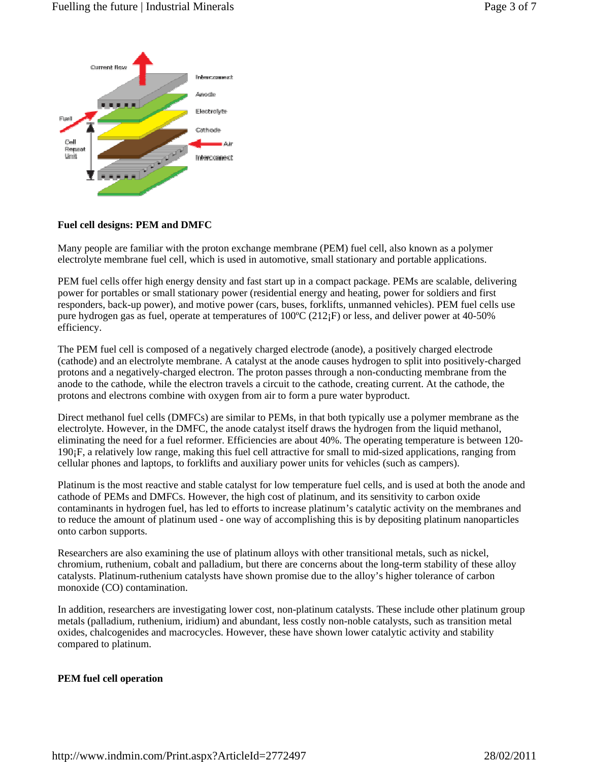

# **Fuel cell designs: PEM and DMFC**

Many people are familiar with the proton exchange membrane (PEM) fuel cell, also known as a polymer electrolyte membrane fuel cell, which is used in automotive, small stationary and portable applications.

PEM fuel cells offer high energy density and fast start up in a compact package. PEMs are scalable, delivering power for portables or small stationary power (residential energy and heating, power for soldiers and first responders, back-up power), and motive power (cars, buses, forklifts, unmanned vehicles). PEM fuel cells use pure hydrogen gas as fuel, operate at temperatures of  $100^{\circ}C(212)F$  or less, and deliver power at 40-50% efficiency.

The PEM fuel cell is composed of a negatively charged electrode (anode), a positively charged electrode (cathode) and an electrolyte membrane. A catalyst at the anode causes hydrogen to split into positively-charged protons and a negatively-charged electron. The proton passes through a non-conducting membrane from the anode to the cathode, while the electron travels a circuit to the cathode, creating current. At the cathode, the protons and electrons combine with oxygen from air to form a pure water byproduct.

Direct methanol fuel cells (DMFCs) are similar to PEMs, in that both typically use a polymer membrane as the electrolyte. However, in the DMFC, the anode catalyst itself draws the hydrogen from the liquid methanol, eliminating the need for a fuel reformer. Efficiencies are about 40%. The operating temperature is between 120- 190¡F, a relatively low range, making this fuel cell attractive for small to mid-sized applications, ranging from cellular phones and laptops, to forklifts and auxiliary power units for vehicles (such as campers).

Platinum is the most reactive and stable catalyst for low temperature fuel cells, and is used at both the anode and cathode of PEMs and DMFCs. However, the high cost of platinum, and its sensitivity to carbon oxide contaminants in hydrogen fuel, has led to efforts to increase platinum's catalytic activity on the membranes and to reduce the amount of platinum used - one way of accomplishing this is by depositing platinum nanoparticles onto carbon supports.

Researchers are also examining the use of platinum alloys with other transitional metals, such as nickel, chromium, ruthenium, cobalt and palladium, but there are concerns about the long-term stability of these alloy catalysts. Platinum-ruthenium catalysts have shown promise due to the alloy's higher tolerance of carbon monoxide (CO) contamination.

In addition, researchers are investigating lower cost, non-platinum catalysts. These include other platinum group metals (palladium, ruthenium, iridium) and abundant, less costly non-noble catalysts, such as transition metal oxides, chalcogenides and macrocycles. However, these have shown lower catalytic activity and stability compared to platinum.

# **PEM fuel cell operation**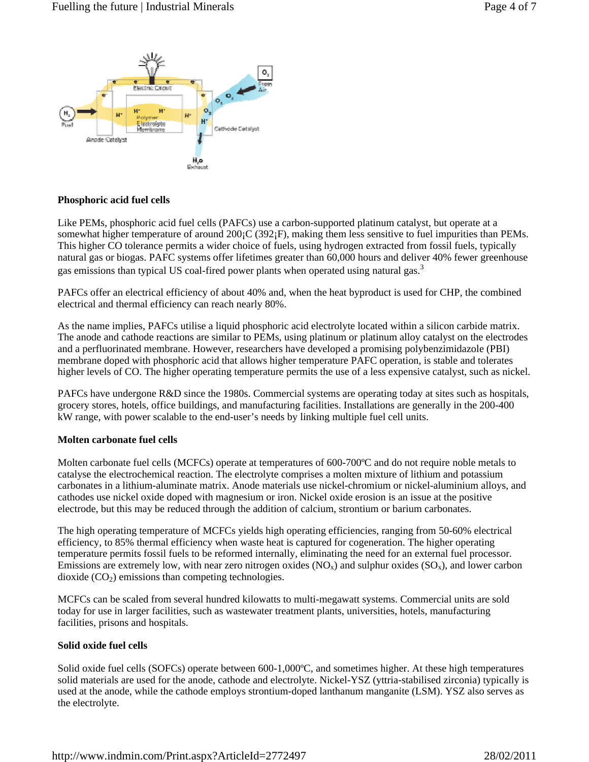

# **Phosphoric acid fuel cells**

Like PEMs, phosphoric acid fuel cells (PAFCs) use a carbon-supported platinum catalyst, but operate at a somewhat higher temperature of around 200<sub>1</sub>C (392<sub>1</sub>F), making them less sensitive to fuel impurities than PEMs. This higher CO tolerance permits a wider choice of fuels, using hydrogen extracted from fossil fuels, typically natural gas or biogas. PAFC systems offer lifetimes greater than 60,000 hours and deliver 40% fewer greenhouse gas emissions than typical US coal-fired power plants when operated using natural gas.<sup>3</sup>

PAFCs offer an electrical efficiency of about 40% and, when the heat byproduct is used for CHP, the combined electrical and thermal efficiency can reach nearly 80%.

As the name implies, PAFCs utilise a liquid phosphoric acid electrolyte located within a silicon carbide matrix. The anode and cathode reactions are similar to PEMs, using platinum or platinum alloy catalyst on the electrodes and a perfluorinated membrane. However, researchers have developed a promising polybenzimidazole (PBI) membrane doped with phosphoric acid that allows higher temperature PAFC operation, is stable and tolerates higher levels of CO. The higher operating temperature permits the use of a less expensive catalyst, such as nickel.

PAFCs have undergone R&D since the 1980s. Commercial systems are operating today at sites such as hospitals, grocery stores, hotels, office buildings, and manufacturing facilities. Installations are generally in the 200-400 kW range, with power scalable to the end-user's needs by linking multiple fuel cell units.

#### **Molten carbonate fuel cells**

Molten carbonate fuel cells (MCFCs) operate at temperatures of 600-700°C and do not require noble metals to catalyse the electrochemical reaction. The electrolyte comprises a molten mixture of lithium and potassium carbonates in a lithium-aluminate matrix. Anode materials use nickel-chromium or nickel-aluminium alloys, and cathodes use nickel oxide doped with magnesium or iron. Nickel oxide erosion is an issue at the positive electrode, but this may be reduced through the addition of calcium, strontium or barium carbonates.

The high operating temperature of MCFCs yields high operating efficiencies, ranging from 50-60% electrical efficiency, to 85% thermal efficiency when waste heat is captured for cogeneration. The higher operating temperature permits fossil fuels to be reformed internally, eliminating the need for an external fuel processor. Emissions are extremely low, with near zero nitrogen oxides  $(NO_x)$  and sulphur oxides  $(SO_x)$ , and lower carbon dioxide  $(CO<sub>2</sub>)$  emissions than competing technologies.

MCFCs can be scaled from several hundred kilowatts to multi-megawatt systems. Commercial units are sold today for use in larger facilities, such as wastewater treatment plants, universities, hotels, manufacturing facilities, prisons and hospitals.

#### **Solid oxide fuel cells**

Solid oxide fuel cells (SOFCs) operate between 600-1,000ºC, and sometimes higher. At these high temperatures solid materials are used for the anode, cathode and electrolyte. Nickel-YSZ (yttria-stabilised zirconia) typically is used at the anode, while the cathode employs strontium-doped lanthanum manganite (LSM). YSZ also serves as the electrolyte.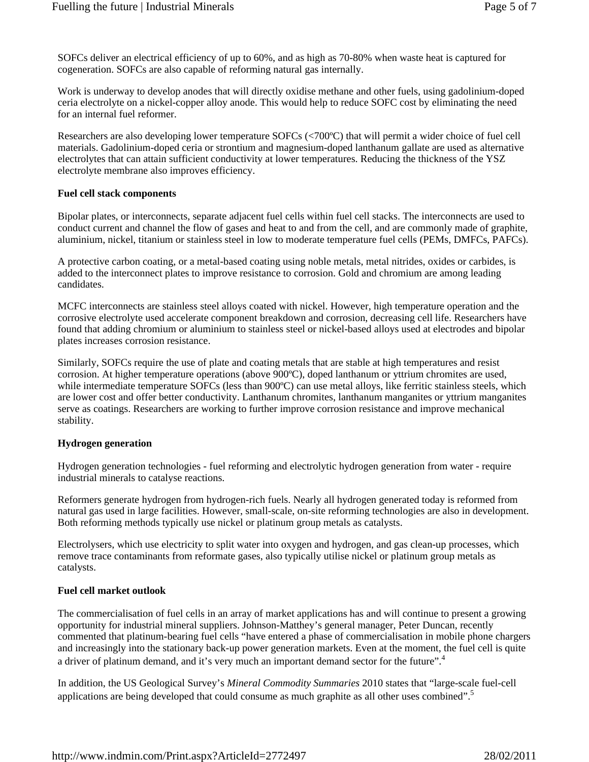SOFCs deliver an electrical efficiency of up to 60%, and as high as 70-80% when waste heat is captured for cogeneration. SOFCs are also capable of reforming natural gas internally.

Work is underway to develop anodes that will directly oxidise methane and other fuels, using gadolinium-doped ceria electrolyte on a nickel-copper alloy anode. This would help to reduce SOFC cost by eliminating the need for an internal fuel reformer.

Researchers are also developing lower temperature SOFCs (<700ºC) that will permit a wider choice of fuel cell materials. Gadolinium-doped ceria or strontium and magnesium-doped lanthanum gallate are used as alternative electrolytes that can attain sufficient conductivity at lower temperatures. Reducing the thickness of the YSZ electrolyte membrane also improves efficiency.

## **Fuel cell stack components**

Bipolar plates, or interconnects, separate adjacent fuel cells within fuel cell stacks. The interconnects are used to conduct current and channel the flow of gases and heat to and from the cell, and are commonly made of graphite, aluminium, nickel, titanium or stainless steel in low to moderate temperature fuel cells (PEMs, DMFCs, PAFCs).

A protective carbon coating, or a metal-based coating using noble metals, metal nitrides, oxides or carbides, is added to the interconnect plates to improve resistance to corrosion. Gold and chromium are among leading candidates.

MCFC interconnects are stainless steel alloys coated with nickel. However, high temperature operation and the corrosive electrolyte used accelerate component breakdown and corrosion, decreasing cell life. Researchers have found that adding chromium or aluminium to stainless steel or nickel-based alloys used at electrodes and bipolar plates increases corrosion resistance.

Similarly, SOFCs require the use of plate and coating metals that are stable at high temperatures and resist corrosion. At higher temperature operations (above 900ºC), doped lanthanum or yttrium chromites are used, while intermediate temperature SOFCs (less than 900°C) can use metal alloys, like ferritic stainless steels, which are lower cost and offer better conductivity. Lanthanum chromites, lanthanum manganites or yttrium manganites serve as coatings. Researchers are working to further improve corrosion resistance and improve mechanical stability.

#### **Hydrogen generation**

Hydrogen generation technologies - fuel reforming and electrolytic hydrogen generation from water - require industrial minerals to catalyse reactions.

Reformers generate hydrogen from hydrogen-rich fuels. Nearly all hydrogen generated today is reformed from natural gas used in large facilities. However, small-scale, on-site reforming technologies are also in development. Both reforming methods typically use nickel or platinum group metals as catalysts.

Electrolysers, which use electricity to split water into oxygen and hydrogen, and gas clean-up processes, which remove trace contaminants from reformate gases, also typically utilise nickel or platinum group metals as catalysts.

# **Fuel cell market outlook**

The commercialisation of fuel cells in an array of market applications has and will continue to present a growing opportunity for industrial mineral suppliers. Johnson-Matthey's general manager, Peter Duncan, recently commented that platinum-bearing fuel cells "have entered a phase of commercialisation in mobile phone chargers and increasingly into the stationary back-up power generation markets. Even at the moment, the fuel cell is quite a driver of platinum demand, and it's very much an important demand sector for the future".<sup>4</sup>

In addition, the US Geological Survey's *Mineral Commodity Summaries* 2010 states that "large-scale fuel-cell applications are being developed that could consume as much graphite as all other uses combined".<sup>5</sup>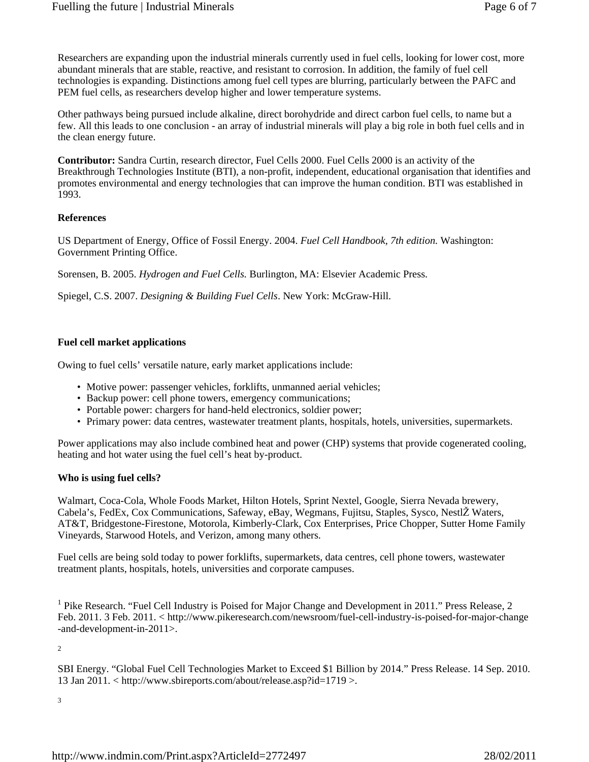Researchers are expanding upon the industrial minerals currently used in fuel cells, looking for lower cost, more abundant minerals that are stable, reactive, and resistant to corrosion. In addition, the family of fuel cell technologies is expanding. Distinctions among fuel cell types are blurring, particularly between the PAFC and PEM fuel cells, as researchers develop higher and lower temperature systems.

Other pathways being pursued include alkaline, direct borohydride and direct carbon fuel cells, to name but a few. All this leads to one conclusion - an array of industrial minerals will play a big role in both fuel cells and in the clean energy future.

**Contributor:** Sandra Curtin, research director, Fuel Cells 2000. Fuel Cells 2000 is an activity of the Breakthrough Technologies Institute (BTI), a non-profit, independent, educational organisation that identifies and promotes environmental and energy technologies that can improve the human condition. BTI was established in 1993.

## **References**

US Department of Energy, Office of Fossil Energy. 2004. *Fuel Cell Handbook, 7th edition.* Washington: Government Printing Office.

Sorensen, B. 2005. *Hydrogen and Fuel Cells.* Burlington, MA: Elsevier Academic Press.

Spiegel, C.S. 2007. *Designing & Building Fuel Cells*. New York: McGraw-Hill.

## **Fuel cell market applications**

Owing to fuel cells' versatile nature, early market applications include:

- Motive power: passenger vehicles, forklifts, unmanned aerial vehicles;
- Backup power: cell phone towers, emergency communications;
- Portable power: chargers for hand-held electronics, soldier power;
- Primary power: data centres, wastewater treatment plants, hospitals, hotels, universities, supermarkets.•

Power applications may also include combined heat and power (CHP) systems that provide cogenerated cooling, heating and hot water using the fuel cell's heat by-product.

#### **Who is using fuel cells?**

Walmart, Coca-Cola, Whole Foods Market, Hilton Hotels, Sprint Nextel, Google, Sierra Nevada brewery, Cabela's, FedEx, Cox Communications, Safeway, eBay, Wegmans, Fujitsu, Staples, Sysco, NestlŽ Waters, AT&T, Bridgestone-Firestone, Motorola, Kimberly-Clark, Cox Enterprises, Price Chopper, Sutter Home Family Vineyards, Starwood Hotels, and Verizon, among many others.

Fuel cells are being sold today to power forklifts, supermarkets, data centres, cell phone towers, wastewater treatment plants, hospitals, hotels, universities and corporate campuses.

<sup>1</sup> Pike Research. "Fuel Cell Industry is Poised for Major Change and Development in 2011." Press Release, 2 Feb. 2011. 3 Feb. 2011. < http://www.pikeresearch.com/newsroom/fuel-cell-industry-is-poised-for-major-change -and-development-in-2011>.

2

SBI Energy. "Global Fuel Cell Technologies Market to Exceed \$1 Billion by 2014." Press Release. 14 Sep. 2010. 13 Jan 2011. < http://www.sbireports.com/about/release.asp?id=1719 >.

3